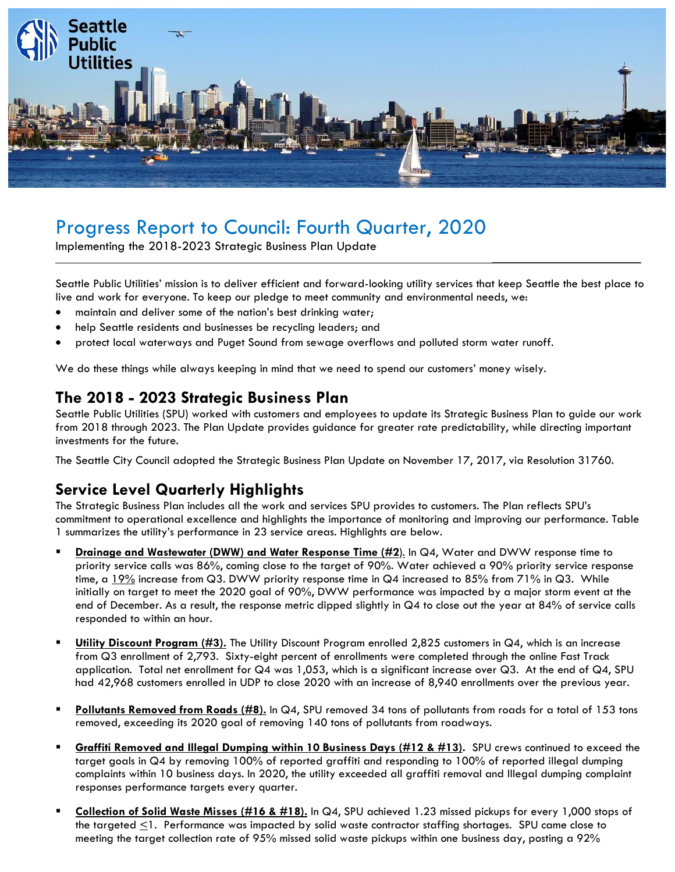

# Progress Report to Council: Fourth Quarter, 2020

Implementing the 2018-2023 Strategic Business Plan Update

Seattle Public Utilities' mission is to deliver efficient and forward-looking utility services that keep Seattle the best place to live and work for everyone. To keep our pledge to meet community and environmental needs, we:

\_\_\_\_\_\_\_\_\_\_\_\_\_\_\_\_\_\_\_\_\_\_\_\_\_\_\_\_\_\_

- maintain and deliver some of the nation's best drinking water;
- help Seattle residents and businesses be recycling leaders; and
- protect local waterways and Puget Sound from sewage overflows and polluted storm water runoff.

We do these things while always keeping in mind that we need to spend our customers' money wisely.

#### **The 2018 - 2023 Strategic Business Plan**

Seattle Public Utilities (SPU) worked with customers and employees to update its Strategic Business Plan to guide our work from 2018 through 2023. The Plan Update provides guidance for greater rate predictability, while directing important investments for the future.

The Seattle City Council adopted the Strategic Business Plan Update on November 17, 2017, via Resolution 31760.

### **Service Level Quarterly Highlights**

The Strategic Business Plan includes all the work and services SPU provides to customers. The Plan reflects SPU's commitment to operational excellence and highlights the importance of monitoring and improving our performance. Table 1 summarizes the utility's performance in 23 service areas. Highlights are below.

- **Drainage and Wastewater (DWW) and Water Response Time (#2**). In Q4, Water and DWW response time to priority service calls was 86%, coming close to the target of 90%. Water achieved a 90% priority service response time, a  $19\%$  increase from Q3. DWW priority response time in Q4 increased to 85% from 71% in Q3. While initially on target to meet the 2020 goal of 90%, DWW performance was impacted by a major storm event at the end of December. As a result, the response metric dipped slightly in Q4 to close out the year at 84% of service calls responded to within an hour.
- **Utility Discount Program (#3).** The Utility Discount Program enrolled 2,825 customers in Q4, which is an increase from Q3 enrollment of 2,793. Sixty-eight percent of enrollments were completed through the online Fast Track application. Total net enrollment for Q4 was 1,053, which is a significant increase over Q3. At the end of Q4, SPU had 42,968 customers enrolled in UDP to close 2020 with an increase of 8,940 enrollments over the previous year.
- **Pollutants Removed from Roads (#8).** In Q4, SPU removed 34 tons of pollutants from roads for a total of 153 tons removed, exceeding its 2020 goal of removing 140 tons of pollutants from roadways.
- **Graffiti Removed and Illegal Dumping within 10 Business Days (#12 & #13).** SPU crews continued to exceed the target goals in Q4 by removing 100% of reported graffiti and responding to 100% of reported illegal dumping complaints within 10 business days. In 2020, the utility exceeded all graffiti removal and Illegal dumping complaint responses performance targets every quarter.
- **Collection of Solid Waste Misses (#16 & #18).** In Q4, SPU achieved 1.23 missed pickups for every 1,000 stops of the targeted  $\leq$ 1. Performance was impacted by solid waste contractor staffing shortages. SPU came close to meeting the target collection rate of 95% missed solid waste pickups within one business day, posting a 92%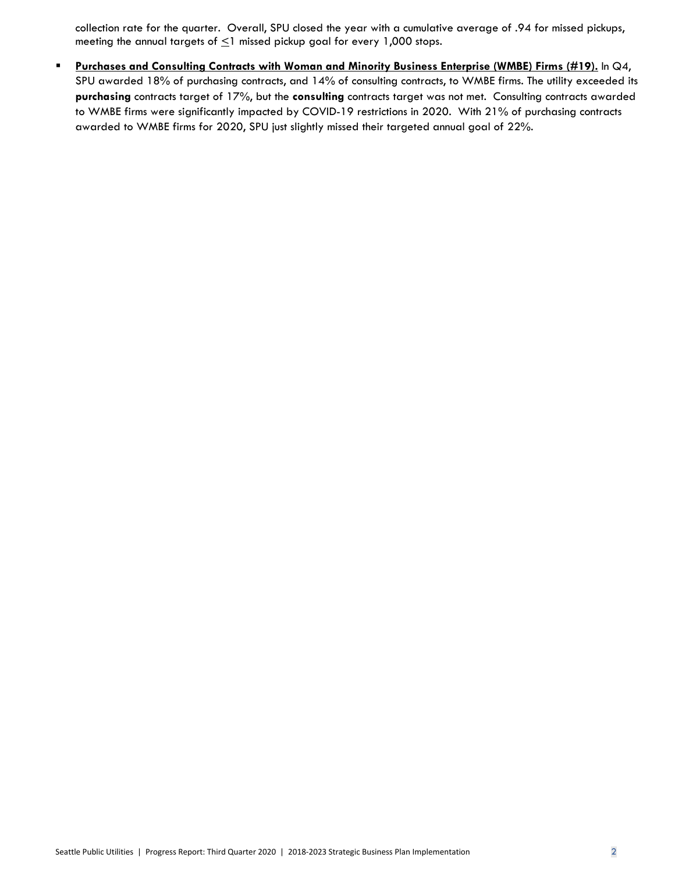collection rate for the quarter. Overall, SPU closed the year with a cumulative average of .94 for missed pickups, meeting the annual targets of  $\leq$ 1 missed pickup goal for every 1,000 stops.

▪ **Purchases and Consulting Contracts with Woman and Minority Business Enterprise (WMBE) Firms (#19).** In Q4, SPU awarded 18% of purchasing contracts, and 14% of consulting contracts, to WMBE firms. The utility exceeded its **purchasing** contracts target of 17%, but the **consulting** contracts target was not met. Consulting contracts awarded to WMBE firms were significantly impacted by COVID-19 restrictions in 2020. With 21% of purchasing contracts awarded to WMBE firms for 2020, SPU just slightly missed their targeted annual goal of 22%.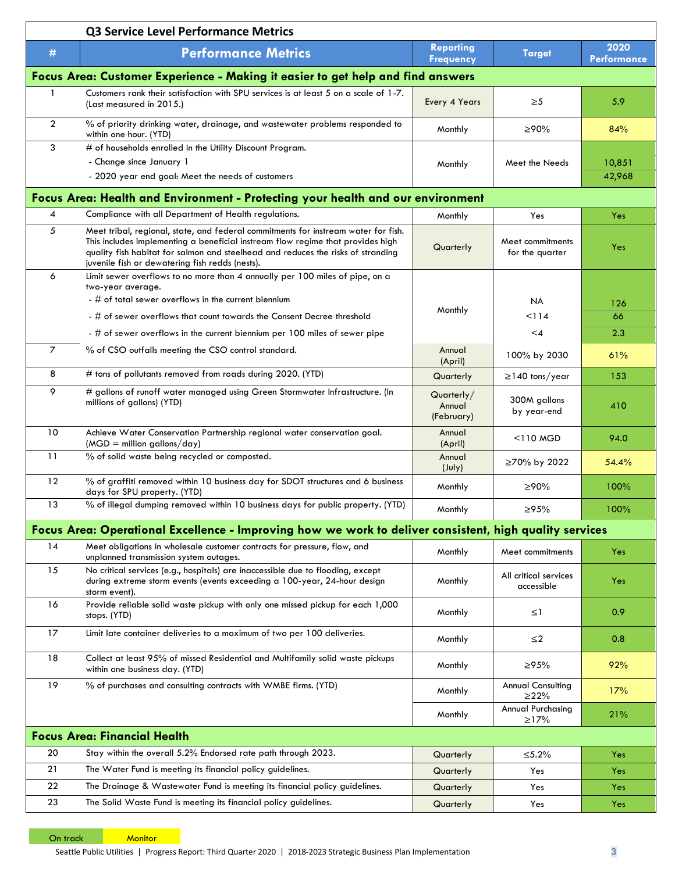|                                     | Q3 Service Level Performance Metrics                                                                                                                                                                                                                                                                         |                                      |                                        |                            |  |  |  |
|-------------------------------------|--------------------------------------------------------------------------------------------------------------------------------------------------------------------------------------------------------------------------------------------------------------------------------------------------------------|--------------------------------------|----------------------------------------|----------------------------|--|--|--|
| #                                   | <b>Performance Metrics</b>                                                                                                                                                                                                                                                                                   | <b>Reporting</b><br><b>Frequency</b> | <b>Target</b>                          | 2020<br><b>Performance</b> |  |  |  |
|                                     | Focus Area: Customer Experience - Making it easier to get help and find answers                                                                                                                                                                                                                              |                                      |                                        |                            |  |  |  |
| 1                                   | Customers rank their satisfaction with SPU services is at least 5 on a scale of 1-7.<br>(Last measured in 2015.)                                                                                                                                                                                             | Every 4 Years                        | $\geq 5$                               | 5.9                        |  |  |  |
| $\overline{2}$                      | % of priority drinking water, drainage, and wastewater problems responded to<br>within one hour. (YTD)                                                                                                                                                                                                       | Monthly                              | ≥90%                                   | 84%                        |  |  |  |
| 3                                   | # of households enrolled in the Utility Discount Program.                                                                                                                                                                                                                                                    |                                      |                                        |                            |  |  |  |
|                                     | - Change since January 1<br>- 2020 year end goal: Meet the needs of customers                                                                                                                                                                                                                                | Monthly                              | Meet the Needs                         | 10,851<br>42,968           |  |  |  |
|                                     | Focus Area: Health and Environment - Protecting your health and our environment                                                                                                                                                                                                                              |                                      |                                        |                            |  |  |  |
| 4                                   | Compliance with all Department of Health regulations.                                                                                                                                                                                                                                                        | Monthly                              | Yes                                    | Yes                        |  |  |  |
| 5                                   | Meet tribal, regional, state, and federal commitments for instream water for fish.<br>This includes implementing a beneficial instream flow regime that provides high<br>quality fish habitat for salmon and steelhead and reduces the risks of stranding<br>juvenile fish or dewatering fish redds (nests). | Quarterly                            | Meet commitments<br>for the quarter    | Yes                        |  |  |  |
| 6                                   | Limit sewer overflows to no more than 4 annually per 100 miles of pipe, on a<br>two-year average.                                                                                                                                                                                                            |                                      |                                        |                            |  |  |  |
|                                     | - # of total sewer overflows in the current biennium                                                                                                                                                                                                                                                         |                                      | <b>NA</b>                              | 126                        |  |  |  |
|                                     | - # of sewer overflows that count towards the Consent Decree threshold                                                                                                                                                                                                                                       | Monthly                              | 114                                    | 66                         |  |  |  |
|                                     | - # of sewer overflows in the current biennium per 100 miles of sewer pipe                                                                                                                                                                                                                                   |                                      | $\leq 4$                               | 2.3                        |  |  |  |
| $\overline{7}$                      | % of CSO outfalls meeting the CSO control standard.                                                                                                                                                                                                                                                          | Annual<br>(April)                    | 100% by 2030                           | 61%                        |  |  |  |
| 8                                   | # tons of pollutants removed from roads during 2020. (YTD)                                                                                                                                                                                                                                                   | Quarterly                            | $\geq$ 140 tons/year                   | 153                        |  |  |  |
| 9                                   | # gallons of runoff water managed using Green Stormwater Infrastructure. (In<br>millions of gallons) (YTD)                                                                                                                                                                                                   | Quarterly/<br>Annual<br>(February)   | 300M gallons<br>by year-end            | 410                        |  |  |  |
| 10                                  | Achieve Water Conservation Partnership regional water conservation goal.<br>$(MGD =$ million gallons/day)                                                                                                                                                                                                    | Annual<br>(April)                    | $\leq$ 110 MGD                         | 94.0                       |  |  |  |
| 11                                  | % of solid waste being recycled or composted.                                                                                                                                                                                                                                                                | Annual<br>$(\text{July})$            | ≥70% by 2022                           | 54.4%                      |  |  |  |
| 12                                  | % of graffiti removed within 10 business day for SDOT structures and 6 business<br>days for SPU property. (YTD)                                                                                                                                                                                              | Monthly                              | ≥90%                                   | 100%                       |  |  |  |
| 13                                  | % of illegal dumping removed within 10 business days for public property. (YTD)                                                                                                                                                                                                                              | Monthly                              | >95%                                   | 100%                       |  |  |  |
|                                     | Focus Area: Operational Excellence - Improving how we work to deliver consistent, high quality services                                                                                                                                                                                                      |                                      |                                        |                            |  |  |  |
| 14                                  | Meet obligations in wholesale customer contracts for pressure, flow, and                                                                                                                                                                                                                                     | Monthly                              | Meet commitments                       | Yes                        |  |  |  |
| 15                                  | unplanned transmission system outages.<br>No critical services (e.g., hospitals) are inaccessible due to flooding, except<br>during extreme storm events (events exceeding a 100-year, 24-hour design                                                                                                        | Monthly                              | All critical services<br>accessible    | Yes                        |  |  |  |
| 16                                  | storm event).<br>Provide reliable solid waste pickup with only one missed pickup for each 1,000<br>stops. (YTD)                                                                                                                                                                                              | Monthly                              | $\leq$ 1                               | 0.9                        |  |  |  |
| 17                                  | Limit late container deliveries to a maximum of two per 100 deliveries.                                                                                                                                                                                                                                      | Monthly                              | $\leq$ 2                               | 0.8                        |  |  |  |
| 18                                  | Collect at least 95% of missed Residential and Multifamily solid waste pickups<br>within one business day. (YTD)                                                                                                                                                                                             | Monthly                              | ≥95%                                   | 92%                        |  |  |  |
| 19                                  | % of purchases and consulting contracts with WMBE firms. (YTD)                                                                                                                                                                                                                                               | Monthly                              | <b>Annual Consulting</b><br>$\geq$ 22% | 17%                        |  |  |  |
|                                     |                                                                                                                                                                                                                                                                                                              | Monthly                              | Annual Purchasing<br>$\geq$ 17%        | 21%                        |  |  |  |
| <b>Focus Area: Financial Health</b> |                                                                                                                                                                                                                                                                                                              |                                      |                                        |                            |  |  |  |
| 20                                  | Stay within the overall 5.2% Endorsed rate path through 2023.                                                                                                                                                                                                                                                | Quarterly                            | ≤5.2%                                  | Yes                        |  |  |  |
| 21                                  | The Water Fund is meeting its financial policy guidelines.                                                                                                                                                                                                                                                   | Quarterly                            | Yes                                    | Yes                        |  |  |  |
| 22                                  | The Drainage & Wastewater Fund is meeting its financial policy guidelines.                                                                                                                                                                                                                                   | Quarterly                            | Yes                                    | Yes                        |  |  |  |
| 23                                  | The Solid Waste Fund is meeting its financial policy guidelines.                                                                                                                                                                                                                                             | Quarterly                            | Yes                                    | Yes                        |  |  |  |

On track Monitor

Seattle Public Utilities | Progress Report: Third Quarter 2020 | 2018-2023 Strategic Business Plan Implementation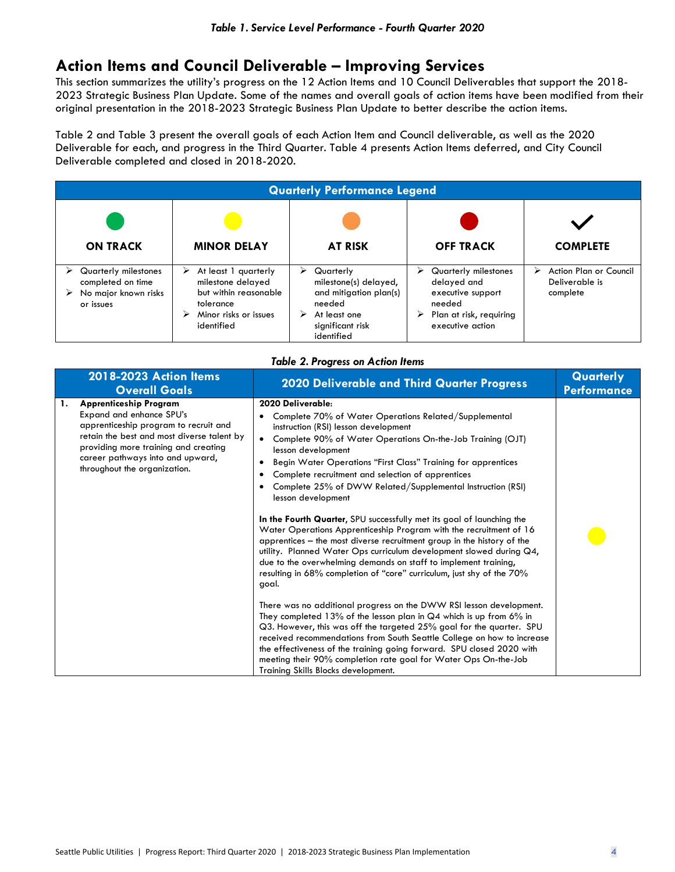## **Action Items and Council Deliverable – Improving Services**

This section summarizes the utility's progress on the 12 Action Items and 10 Council Deliverables that support the 2018- 2023 Strategic Business Plan Update. Some of the names and overall goals of action items have been modified from their original presentation in the 2018-2023 Strategic Business Plan Update to better describe the action items.

Table 2 and Table 3 present the overall goals of each Action Item and Council deliverable, as well as the 2020 Deliverable for each, and progress in the Third Quarter. Table 4 presents Action Items deferred, and City Council Deliverable completed and closed in 2018-2020.

| <b>Quarterly Performance Legend</b>                                            |                                                                                                                             |                                                                                                                                    |                                                                                                                             |                                                           |  |
|--------------------------------------------------------------------------------|-----------------------------------------------------------------------------------------------------------------------------|------------------------------------------------------------------------------------------------------------------------------------|-----------------------------------------------------------------------------------------------------------------------------|-----------------------------------------------------------|--|
| <b>ON TRACK</b>                                                                | <b>MINOR DELAY</b>                                                                                                          | <b>AT RISK</b>                                                                                                                     | <b>OFF TRACK</b>                                                                                                            | <b>COMPLETE</b>                                           |  |
| Quarterly milestones<br>completed on time<br>No major known risks<br>or issues | At least 1 quarterly<br>⋗<br>milestone delayed<br>but within reasonable<br>tolerance<br>Minor risks or issues<br>identified | ⋗<br>Quarterly<br>milestone(s) delayed,<br>and mitigation plan(s)<br>needed<br>At least one<br>➤<br>significant risk<br>identified | Quarterly milestones<br>⋗<br>delayed and<br>executive support<br>needed<br>Plan at risk, requiring<br>➤<br>executive action | Action Plan or Council<br>⋗<br>Deliverable is<br>complete |  |

|  | <b>Table 2. Progress on Action Items</b> |  |  |
|--|------------------------------------------|--|--|
|--|------------------------------------------|--|--|

| <b>2018-2023 Action Items</b><br><b>Overall Goals</b>                                                                                                                                                                                                              | <b>2020 Deliverable and Third Quarter Progress</b>                                                                                                                                                                                                                                                                                                                                                                                                                                                                                                                                                                                                                                                                                                                                                                                                                                                                                                                                                                                                                                                                                                                                                                                                                                                                                                                                    | Quarterly<br><b>Performance</b> |
|--------------------------------------------------------------------------------------------------------------------------------------------------------------------------------------------------------------------------------------------------------------------|---------------------------------------------------------------------------------------------------------------------------------------------------------------------------------------------------------------------------------------------------------------------------------------------------------------------------------------------------------------------------------------------------------------------------------------------------------------------------------------------------------------------------------------------------------------------------------------------------------------------------------------------------------------------------------------------------------------------------------------------------------------------------------------------------------------------------------------------------------------------------------------------------------------------------------------------------------------------------------------------------------------------------------------------------------------------------------------------------------------------------------------------------------------------------------------------------------------------------------------------------------------------------------------------------------------------------------------------------------------------------------------|---------------------------------|
| <b>Apprenticeship Program</b><br>1.<br>Expand and enhance SPU's<br>apprenticeship program to recruit and<br>retain the best and most diverse talent by<br>providing more training and creating<br>career pathways into and upward,<br>throughout the organization. | 2020 Deliverable:<br>Complete 70% of Water Operations Related/Supplemental<br>instruction (RSI) lesson development<br>Complete 90% of Water Operations On-the-Job Training (OJT)<br>$\bullet$<br>lesson development<br>Begin Water Operations "First Class" Training for apprentices<br>٠<br>Complete recruitment and selection of apprentices<br>٠<br>Complete 25% of DWW Related/Supplemental Instruction (RSI)<br>٠<br>lesson development<br>In the Fourth Quarter, SPU successfully met its goal of launching the<br>Water Operations Apprenticeship Program with the recruitment of 16<br>apprentices – the most diverse recruitment group in the history of the<br>utility. Planned Water Ops curriculum development slowed during Q4,<br>due to the overwhelming demands on staff to implement training,<br>resulting in 68% completion of "core" curriculum, just shy of the 70%<br>goal.<br>There was no additional progress on the DWW RSI lesson development.<br>They completed 13% of the lesson plan in $Q4$ which is up from 6% in<br>Q3. However, this was off the targeted 25% goal for the quarter. SPU<br>received recommendations from South Seattle College on how to increase<br>the effectiveness of the training going forward. SPU closed 2020 with<br>meeting their 90% completion rate goal for Water Ops On-the-Job<br>Training Skills Blocks development. |                                 |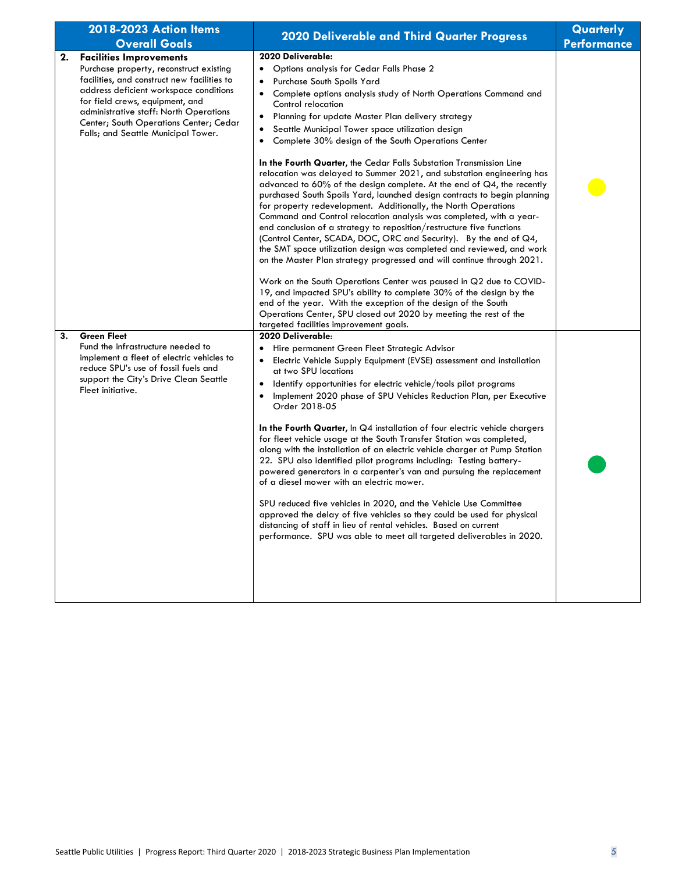|    | 2018-2023 Action Items<br><b>Overall Goals</b>                                                                                                                                                                                                                                                                                   | <b>2020 Deliverable and Third Quarter Progress</b>                                                                                                                                                                                                                                                                                                                                                                                                                                                                                                                                                                                                                                                                                                                                                                                                                                                                                                                                                                                                                                    | Quarterly<br><b>Performance</b> |
|----|----------------------------------------------------------------------------------------------------------------------------------------------------------------------------------------------------------------------------------------------------------------------------------------------------------------------------------|---------------------------------------------------------------------------------------------------------------------------------------------------------------------------------------------------------------------------------------------------------------------------------------------------------------------------------------------------------------------------------------------------------------------------------------------------------------------------------------------------------------------------------------------------------------------------------------------------------------------------------------------------------------------------------------------------------------------------------------------------------------------------------------------------------------------------------------------------------------------------------------------------------------------------------------------------------------------------------------------------------------------------------------------------------------------------------------|---------------------------------|
| 2. | <b>Facilities Improvements</b><br>Purchase property, reconstruct existing<br>facilities, and construct new facilities to<br>address deficient workspace conditions<br>for field crews, equipment, and<br>administrative staff: North Operations<br>Center; South Operations Center; Cedar<br>Falls; and Seattle Municipal Tower. | 2020 Deliverable:<br>Options analysis for Cedar Falls Phase 2<br>$\bullet$<br>Purchase South Spoils Yard<br>٠<br>Complete options analysis study of North Operations Command and<br>$\bullet$<br>Control relocation<br>Planning for update Master Plan delivery strategy<br>٠<br>Seattle Municipal Tower space utilization design<br>٠<br>Complete 30% design of the South Operations Center<br>$\bullet$                                                                                                                                                                                                                                                                                                                                                                                                                                                                                                                                                                                                                                                                             |                                 |
|    |                                                                                                                                                                                                                                                                                                                                  | In the Fourth Quarter, the Cedar Falls Substation Transmission Line<br>relocation was delayed to Summer 2021, and substation engineering has<br>advanced to $60\%$ of the design complete. At the end of $Q4$ , the recently<br>purchased South Spoils Yard, launched design contracts to begin planning<br>for property redevelopment. Additionally, the North Operations<br>Command and Control relocation analysis was completed, with a year-<br>end conclusion of a strategy to reposition/restructure five functions<br>(Control Center, SCADA, DOC, ORC and Security). By the end of Q4,<br>the SMT space utilization design was completed and reviewed, and work<br>on the Master Plan strategy progressed and will continue through 2021.<br>Work on the South Operations Center was paused in Q2 due to COVID-<br>19, and impacted SPU's ability to complete 30% of the design by the<br>end of the year. With the exception of the design of the South<br>Operations Center, SPU closed out 2020 by meeting the rest of the<br>targeted facilities improvement goals.      |                                 |
| 3. | <b>Green Fleet</b><br>Fund the infrastructure needed to<br>implement a fleet of electric vehicles to<br>reduce SPU's use of fossil fuels and<br>support the City's Drive Clean Seattle<br>Fleet initiative.                                                                                                                      | 2020 Deliverable:<br>Hire permanent Green Fleet Strategic Advisor<br>Electric Vehicle Supply Equipment (EVSE) assessment and installation<br>$\bullet$<br>at two SPU locations<br>Identify opportunities for electric vehicle/tools pilot programs<br>$\bullet$<br>Implement 2020 phase of SPU Vehicles Reduction Plan, per Executive<br>٠<br>Order 2018-05<br>In the Fourth Quarter, In Q4 installation of four electric vehicle chargers<br>for fleet vehicle usage at the South Transfer Station was completed,<br>along with the installation of an electric vehicle charger at Pump Station<br>22. SPU also identified pilot programs including: Testing battery-<br>powered generators in a carpenter's van and pursuing the replacement<br>of a diesel mower with an electric mower.<br>SPU reduced five vehicles in 2020, and the Vehicle Use Committee<br>approved the delay of five vehicles so they could be used for physical<br>distancing of staff in lieu of rental vehicles. Based on current<br>performance. SPU was able to meet all targeted deliverables in 2020. |                                 |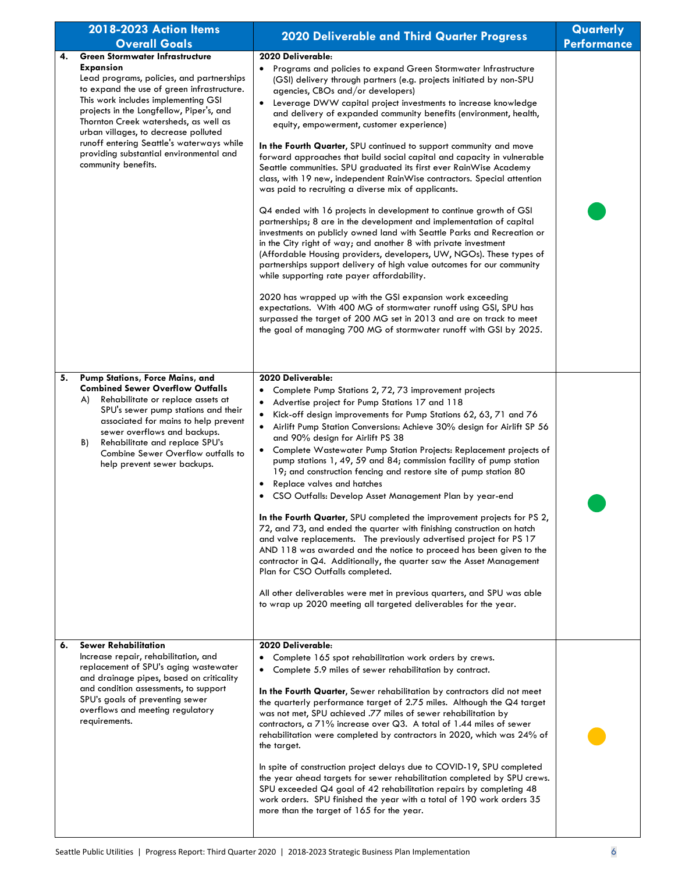|    | 2018-2023 Action Items                                                                                                                                                                                                                                                                                                                                                                                                                   |                                                                                                                                                                                                                                                                                                                                                                                                                                                                                                                                                                                                                                                                                                                                                                                                                                                                                                                                                                                                                                                                                                                                                                                                                                                                                                                                                                                                                                                                                                                          | Quarterly          |
|----|------------------------------------------------------------------------------------------------------------------------------------------------------------------------------------------------------------------------------------------------------------------------------------------------------------------------------------------------------------------------------------------------------------------------------------------|--------------------------------------------------------------------------------------------------------------------------------------------------------------------------------------------------------------------------------------------------------------------------------------------------------------------------------------------------------------------------------------------------------------------------------------------------------------------------------------------------------------------------------------------------------------------------------------------------------------------------------------------------------------------------------------------------------------------------------------------------------------------------------------------------------------------------------------------------------------------------------------------------------------------------------------------------------------------------------------------------------------------------------------------------------------------------------------------------------------------------------------------------------------------------------------------------------------------------------------------------------------------------------------------------------------------------------------------------------------------------------------------------------------------------------------------------------------------------------------------------------------------------|--------------------|
|    | <b>Overall Goals</b>                                                                                                                                                                                                                                                                                                                                                                                                                     | 2020 Deliverable and Third Quarter Progress                                                                                                                                                                                                                                                                                                                                                                                                                                                                                                                                                                                                                                                                                                                                                                                                                                                                                                                                                                                                                                                                                                                                                                                                                                                                                                                                                                                                                                                                              | <b>Performance</b> |
| 4. | <b>Green Stormwater Infrastructure</b><br><b>Expansion</b><br>Lead programs, policies, and partnerships<br>to expand the use of green infrastructure.<br>This work includes implementing GSI<br>projects in the Longfellow, Piper's, and<br>Thornton Creek watersheds, as well as<br>urban villages, to decrease polluted<br>runoff entering Seattle's waterways while<br>providing substantial environmental and<br>community benefits. | 2020 Deliverable:<br>Programs and policies to expand Green Stormwater Infrastructure<br>(GSI) delivery through partners (e.g. projects initiated by non-SPU<br>agencies, CBOs and/or developers)<br>Leverage DWW capital project investments to increase knowledge<br>and delivery of expanded community benefits (environment, health,<br>equity, empowerment, customer experience)<br>In the Fourth Quarter, SPU continued to support community and move<br>forward approaches that build social capital and capacity in vulnerable<br>Seattle communities. SPU graduated its first ever RainWise Academy<br>class, with 19 new, independent RainWise contractors. Special attention<br>was paid to recruiting a diverse mix of applicants.<br>Q4 ended with 16 projects in development to continue growth of GSI<br>partnerships; 8 are in the development and implementation of capital<br>investments on publicly owned land with Seattle Parks and Recreation or<br>in the City right of way; and another 8 with private investment<br>(Affordable Housing providers, developers, UW, NGOs). These types of<br>partnerships support delivery of high value outcomes for our community<br>while supporting rate payer affordability.<br>2020 has wrapped up with the GSI expansion work exceeding<br>expectations. With 400 MG of stormwater runoff using GSI, SPU has<br>surpassed the target of 200 MG set in 2013 and are on track to meet<br>the goal of managing 700 MG of stormwater runoff with GSI by 2025. |                    |
| 5. | Pump Stations, Force Mains, and<br><b>Combined Sewer Overflow Outfalls</b><br>Rehabilitate or replace assets at<br>A)<br>SPU's sewer pump stations and their<br>associated for mains to help prevent<br>sewer overflows and backups.<br>Rehabilitate and replace SPU's<br>B)<br>Combine Sewer Overflow outfalls to<br>help prevent sewer backups.                                                                                        | 2020 Deliverable:<br>Complete Pump Stations 2, 72, 73 improvement projects<br>$\bullet$<br>Advertise project for Pump Stations 17 and 118<br>$\bullet$<br>Kick-off design improvements for Pump Stations 62, 63, 71 and 76<br>$\bullet$<br>Airlift Pump Station Conversions: Achieve 30% design for Airlift SP 56<br>$\bullet$<br>and 90% design for Airlift PS 38<br>Complete Wastewater Pump Station Projects: Replacement projects of<br>$\bullet$<br>pump stations 1, 49, 59 and 84; commission facility of pump station<br>19; and construction fencing and restore site of pump station 80<br>Replace valves and hatches<br>٠<br>CSO Outfalls: Develop Asset Management Plan by year-end<br>In the Fourth Quarter, SPU completed the improvement projects for PS 2,<br>72, and 73, and ended the quarter with finishing construction on hatch<br>and valve replacements. The previously advertised project for PS 17<br>AND 118 was awarded and the notice to proceed has been given to the<br>contractor in Q4. Additionally, the quarter saw the Asset Management<br>Plan for CSO Outfalls completed.<br>All other deliverables were met in previous quarters, and SPU was able<br>to wrap up 2020 meeting all targeted deliverables for the year.                                                                                                                                                                                                                                                               |                    |
| 6. | <b>Sewer Rehabilitation</b><br>Increase repair, rehabilitation, and<br>replacement of SPU's aging wastewater<br>and drainage pipes, based on criticality<br>and condition assessments, to support<br>SPU's goals of preventing sewer<br>overflows and meeting regulatory<br>requirements.                                                                                                                                                | 2020 Deliverable:<br>Complete 165 spot rehabilitation work orders by crews.<br>Complete 5.9 miles of sewer rehabilitation by contract.<br>$\bullet$<br>In the Fourth Quarter, Sewer rehabilitation by contractors did not meet<br>the quarterly performance target of 2.75 miles. Although the Q4 target<br>was not met, SPU achieved .77 miles of sewer rehabilitation by<br>contractors, a $71\%$ increase over Q3. A total of 1.44 miles of sewer<br>rehabilitation were completed by contractors in 2020, which was 24% of<br>the target.<br>In spite of construction project delays due to COVID-19, SPU completed<br>the year ahead targets for sewer rehabilitation completed by SPU crews.<br>SPU exceeded Q4 goal of 42 rehabilitation repairs by completing 48<br>work orders. SPU finished the year with a total of 190 work orders 35<br>more than the target of 165 for the year.                                                                                                                                                                                                                                                                                                                                                                                                                                                                                                                                                                                                                           |                    |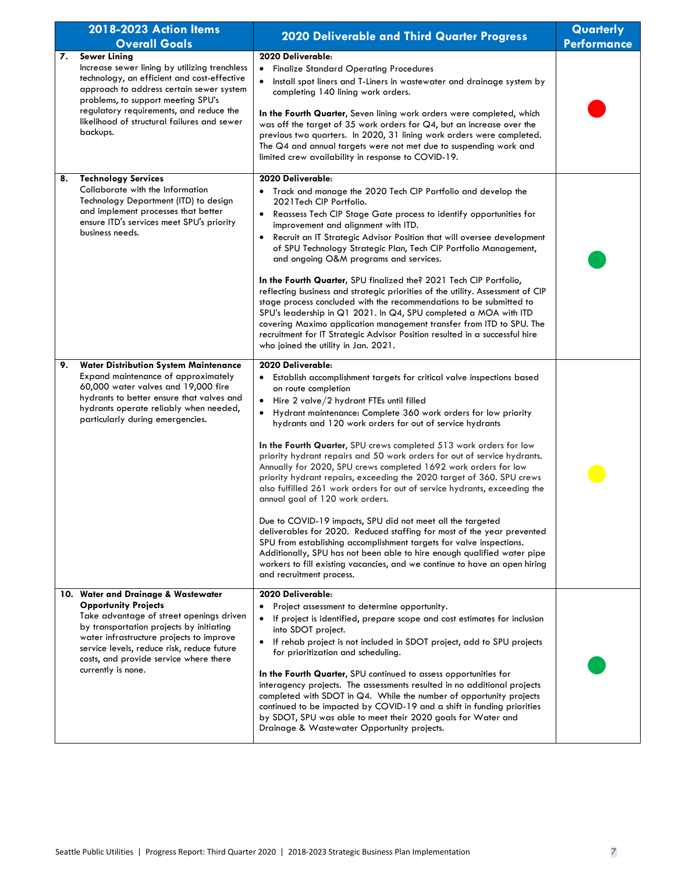|          | 2018-2023 Action Items<br><b>Overall Goals</b>                                                                                                                                                                                                                                                                       | 2020 Deliverable and Third Quarter Progress                                                                                                                                                                                                                                                                                                                                                                                                                                                                                                                                                                                                                                                                                                                                                                                                                                                                                                                                                                                                                                                                                     | Quarterly<br><b>Performance</b> |
|----------|----------------------------------------------------------------------------------------------------------------------------------------------------------------------------------------------------------------------------------------------------------------------------------------------------------------------|---------------------------------------------------------------------------------------------------------------------------------------------------------------------------------------------------------------------------------------------------------------------------------------------------------------------------------------------------------------------------------------------------------------------------------------------------------------------------------------------------------------------------------------------------------------------------------------------------------------------------------------------------------------------------------------------------------------------------------------------------------------------------------------------------------------------------------------------------------------------------------------------------------------------------------------------------------------------------------------------------------------------------------------------------------------------------------------------------------------------------------|---------------------------------|
| 7.       | <b>Sewer Lining</b><br>Increase sewer lining by utilizing trenchless<br>technology, an efficient and cost-effective<br>approach to address certain sewer system<br>problems, to support meeting SPU's<br>regulatory requirements, and reduce the<br>likelihood of structural failures and sewer<br>backups.          | 2020 Deliverable:<br><b>Finalize Standard Operating Procedures</b><br>$\bullet$<br>Install spot liners and T-Liners in wastewater and drainage system by<br>$\bullet$<br>completing 140 lining work orders.<br>In the Fourth Quarter, Seven lining work orders were completed, which<br>was off the target of 35 work orders for $Q4$ , but an increase over the<br>previous two quarters. In 2020, 31 lining work orders were completed.<br>The Q4 and annual targets were not met due to suspending work and<br>limited crew availability in response to COVID-19.                                                                                                                                                                                                                                                                                                                                                                                                                                                                                                                                                            |                                 |
| 8.<br>9. | <b>Technology Services</b><br>Collaborate with the Information<br>Technology Department (ITD) to design<br>and implement processes that better<br>ensure ITD's services meet SPU's priority<br>business needs.<br><b>Water Distribution System Maintenance</b>                                                       | 2020 Deliverable:<br>Track and manage the 2020 Tech CIP Portfolio and develop the<br>2021 Tech CIP Portfolio.<br>Reassess Tech CIP Stage Gate process to identify opportunities for<br>$\bullet$<br>improvement and alignment with ITD.<br>Recruit an IT Strategic Advisor Position that will oversee development<br>٠<br>of SPU Technology Strategic Plan, Tech CIP Portfolio Management,<br>and ongoing O&M programs and services.<br>In the Fourth Quarter, SPU finalized the? 2021 Tech CIP Portfolio,<br>reflecting business and strategic priorities of the utility. Assessment of CIP<br>stage process concluded with the recommendations to be submitted to<br>SPU's leadership in Q1 2021. In Q4, SPU completed a MOA with ITD<br>covering Maximo application management transfer from ITD to SPU. The<br>recruitment for IT Strategic Advisor Position resulted in a successful hire<br>who joined the utility in Jan. 2021.<br>2020 Deliverable:                                                                                                                                                                     |                                 |
|          | Expand maintenance of approximately<br>60,000 water valves and 19,000 fire<br>hydrants to better ensure that valves and<br>hydrants operate reliably when needed,<br>particularly during emergencies.                                                                                                                | Establish accomplishment targets for critical valve inspections based<br>$\bullet$<br>on route completion<br>Hire 2 valve/2 hydrant FTEs until filled<br>$\bullet$<br>Hydrant maintenance: Complete 360 work orders for low priority<br>$\bullet$<br>hydrants and 120 work orders for out of service hydrants<br>In the Fourth Quarter, SPU crews completed 513 work orders for low<br>priority hydrant repairs and 50 work orders for out of service hydrants.<br>Annually for 2020, SPU crews completed 1692 work orders for low<br>priority hydrant repairs, exceeding the 2020 target of 360. SPU crews<br>also fulfilled 261 work orders for out of service hydrants, exceeding the<br>annual goal of 120 work orders.<br>Due to COVID-19 impacts, SPU did not meet all the targeted<br>deliverables for 2020. Reduced staffing for most of the year prevented<br>SPU from establishing accomplishment targets for valve inspections.<br>Additionally, SPU has not been able to hire enough qualified water pipe<br>workers to fill existing vacancies, and we continue to have an open hiring<br>and recruitment process. |                                 |
|          | 10. Water and Drainage & Wastewater<br><b>Opportunity Projects</b><br>Take advantage of street openings driven<br>by transportation projects by initiating<br>water infrastructure projects to improve<br>service levels, reduce risk, reduce future<br>costs, and provide service where there<br>currently is none. | 2020 Deliverable:<br>Project assessment to determine opportunity.<br>If project is identified, prepare scope and cost estimates for inclusion<br>$\bullet$<br>into SDOT project.<br>If rehab project is not included in SDOT project, add to SPU projects<br>٠<br>for prioritization and scheduling.<br>In the Fourth Quarter, SPU continued to assess opportunities for<br>interagency projects. The assessments resulted in no additional projects<br>completed with SDOT in Q4. While the number of opportunity projects<br>continued to be impacted by COVID-19 and a shift in funding priorities<br>by SDOT, SPU was able to meet their 2020 goals for Water and<br>Drainage & Wastewater Opportunity projects.                                                                                                                                                                                                                                                                                                                                                                                                            |                                 |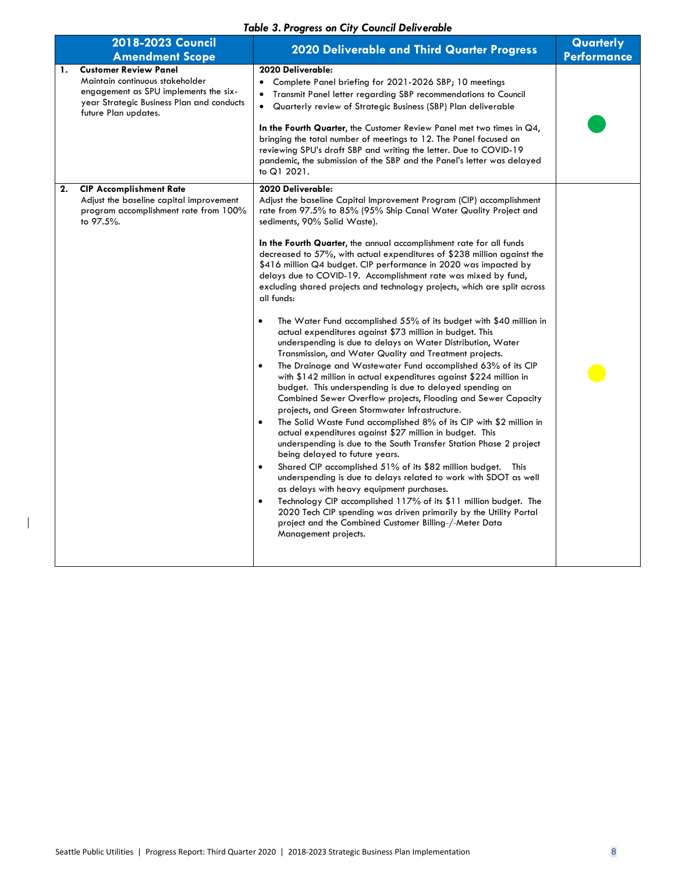#### *Table 3. Progress on City Council Deliverable*

|    | 2018-2023 Council<br><b>Amendment Scope</b>                                                                                                                                   | <b>Table of Flogress on City Council Denverable</b><br><b>2020 Deliverable and Third Quarter Progress</b>                                                                                                                                                                                                                                                                                                                                                                                                                                                                                                                                                                                                                                                                                                                                                                                                                                                                                                                                                                                                                                                                                                                                                                                                                                                                                                                                                                                                                                                                                                                                                                                                                                                                                                                                                                                 | Quarterly<br><b>Performance</b> |
|----|-------------------------------------------------------------------------------------------------------------------------------------------------------------------------------|-------------------------------------------------------------------------------------------------------------------------------------------------------------------------------------------------------------------------------------------------------------------------------------------------------------------------------------------------------------------------------------------------------------------------------------------------------------------------------------------------------------------------------------------------------------------------------------------------------------------------------------------------------------------------------------------------------------------------------------------------------------------------------------------------------------------------------------------------------------------------------------------------------------------------------------------------------------------------------------------------------------------------------------------------------------------------------------------------------------------------------------------------------------------------------------------------------------------------------------------------------------------------------------------------------------------------------------------------------------------------------------------------------------------------------------------------------------------------------------------------------------------------------------------------------------------------------------------------------------------------------------------------------------------------------------------------------------------------------------------------------------------------------------------------------------------------------------------------------------------------------------------|---------------------------------|
| 1. | <b>Customer Review Panel</b><br>Maintain continuous stakeholder<br>engagement as SPU implements the six-<br>year Strategic Business Plan and conducts<br>future Plan updates. | 2020 Deliverable:<br>Complete Panel briefing for 2021-2026 SBP; 10 meetings<br>Transmit Panel letter regarding SBP recommendations to Council<br>Quarterly review of Strategic Business (SBP) Plan deliverable<br>$\bullet$<br>In the Fourth Quarter, the Customer Review Panel met two times in $\mathbb{Q}4$ ,<br>bringing the total number of meetings to 12. The Panel focused on<br>reviewing SPU's draft SBP and writing the letter. Due to COVID-19<br>pandemic, the submission of the SBP and the Panel's letter was delayed<br>to Q1 2021.                                                                                                                                                                                                                                                                                                                                                                                                                                                                                                                                                                                                                                                                                                                                                                                                                                                                                                                                                                                                                                                                                                                                                                                                                                                                                                                                       |                                 |
| 2. | <b>CIP Accomplishment Rate</b><br>Adjust the baseline capital improvement<br>program accomplishment rate from 100%<br>to 97.5%.                                               | 2020 Deliverable:<br>Adjust the baseline Capital Improvement Program (CIP) accomplishment<br>rate from 97.5% to 85% (95% Ship Canal Water Quality Project and<br>sediments, 90% Solid Waste).<br>In the Fourth Quarter, the annual accomplishment rate for all funds<br>decreased to 57%, with actual expenditures of \$238 million against the<br>\$416 million Q4 budget. CIP performance in 2020 was impacted by<br>delays due to COVID-19. Accomplishment rate was mixed by fund,<br>excluding shared projects and technology projects, which are split across<br>all funds:<br>The Water Fund accomplished 55% of its budget with \$40 million in<br>$\bullet$<br>actual expenditures against \$73 million in budget. This<br>underspending is due to delays on Water Distribution, Water<br>Transmission, and Water Quality and Treatment projects.<br>The Drainage and Wastewater Fund accomplished 63% of its CIP<br>$\bullet$<br>with \$142 million in actual expenditures against \$224 million in<br>budget. This underspending is due to delayed spending on<br>Combined Sewer Overflow projects, Flooding and Sewer Capacity<br>projects, and Green Stormwater Infrastructure.<br>The Solid Waste Fund accomplished 8% of its CIP with \$2 million in<br>$\bullet$<br>actual expenditures against \$27 million in budget. This<br>underspending is due to the South Transfer Station Phase 2 project<br>being delayed to future years.<br>Shared CIP accomplished 51% of its \$82 million budget. This<br>$\bullet$<br>underspending is due to delays related to work with SDOT as well<br>as delays with heavy equipment purchases.<br>Technology CIP accomplished 117% of its \$11 million budget. The<br>$\bullet$<br>2020 Tech CIP spending was driven primarily by the Utility Portal<br>project and the Combined Customer Billing-/-Meter Data<br>Management projects. |                                 |
|    |                                                                                                                                                                               |                                                                                                                                                                                                                                                                                                                                                                                                                                                                                                                                                                                                                                                                                                                                                                                                                                                                                                                                                                                                                                                                                                                                                                                                                                                                                                                                                                                                                                                                                                                                                                                                                                                                                                                                                                                                                                                                                           |                                 |

 $\overline{\phantom{a}}$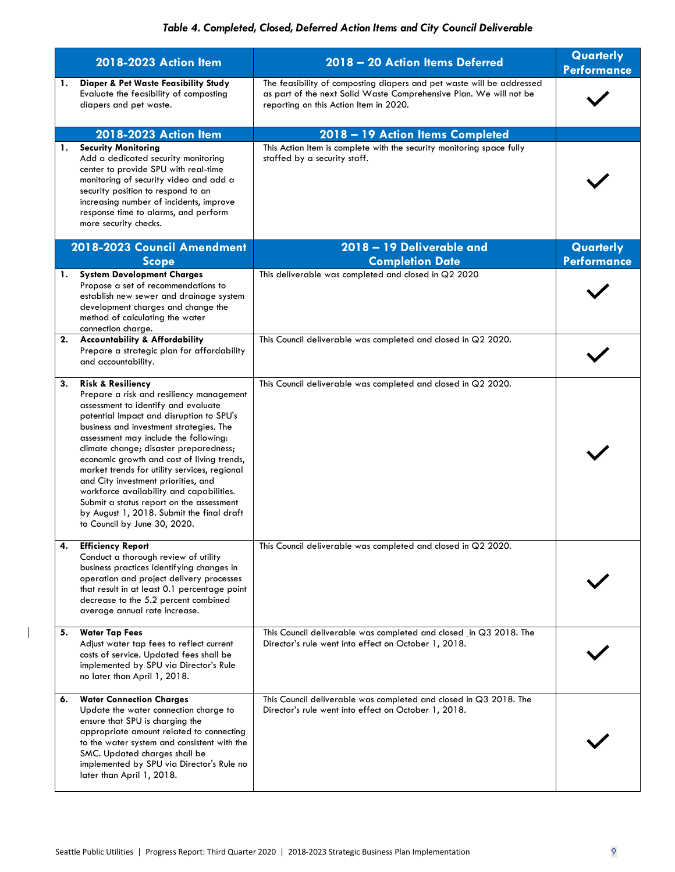#### *Table 4. Completed, Closed, Deferred Action Items and City Council Deliverable*

|    | 2018-2023 Action Item                                                                                                                                                                                                                                                                                                                                                                                                                                                                                                                                                                               | 2018 - 20 Action Items Deferred                                                                                                                                                       | Quarterly<br><b>Performance</b> |
|----|-----------------------------------------------------------------------------------------------------------------------------------------------------------------------------------------------------------------------------------------------------------------------------------------------------------------------------------------------------------------------------------------------------------------------------------------------------------------------------------------------------------------------------------------------------------------------------------------------------|---------------------------------------------------------------------------------------------------------------------------------------------------------------------------------------|---------------------------------|
| 1. | Diaper & Pet Waste Feasibility Study<br>Evaluate the feasibility of composting<br>diapers and pet waste.                                                                                                                                                                                                                                                                                                                                                                                                                                                                                            | The feasibility of composting diapers and pet waste will be addressed<br>as part of the next Solid Waste Comprehensive Plan. We will not be<br>reporting on this Action Item in 2020. |                                 |
|    | 2018-2023 Action Item                                                                                                                                                                                                                                                                                                                                                                                                                                                                                                                                                                               | 2018 - 19 Action Items Completed                                                                                                                                                      |                                 |
| 1. | <b>Security Monitoring</b><br>Add a dedicated security monitoring<br>center to provide SPU with real-time<br>monitoring of security video and add a<br>security position to respond to an<br>increasing number of incidents, improve<br>response time to alarms, and perform<br>more security checks.                                                                                                                                                                                                                                                                                               | This Action Item is complete with the security monitoring space fully<br>staffed by a security staff.                                                                                 |                                 |
|    | 2018-2023 Council Amendment<br><b>Scope</b>                                                                                                                                                                                                                                                                                                                                                                                                                                                                                                                                                         | 2018 - 19 Deliverable and<br><b>Completion Date</b>                                                                                                                                   | Quarterly<br><b>Performance</b> |
| 1. | <b>System Development Charges</b><br>Propose a set of recommendations to<br>establish new sewer and drainage system<br>development charges and change the<br>method of calculating the water<br>connection charge.                                                                                                                                                                                                                                                                                                                                                                                  | This deliverable was completed and closed in Q2 2020                                                                                                                                  |                                 |
| 2. | <b>Accountability &amp; Affordability</b><br>Prepare a strategic plan for affordability<br>and accountability.                                                                                                                                                                                                                                                                                                                                                                                                                                                                                      | This Council deliverable was completed and closed in Q2 2020.                                                                                                                         |                                 |
| 3. | <b>Risk &amp; Resiliency</b><br>Prepare a risk and resiliency management<br>assessment to identify and evaluate<br>potential impact and disruption to SPU's<br>business and investment strategies. The<br>assessment may include the following:<br>climate change; disaster preparedness;<br>economic growth and cost of living trends,<br>market trends for utility services, regional<br>and City investment priorities, and<br>workforce availability and capabilities.<br>Submit a status report on the assessment<br>by August 1, 2018. Submit the final draft<br>to Council by June 30, 2020. | This Council deliverable was completed and closed in Q2 2020.                                                                                                                         |                                 |
| 4. | <b>Efficiency Report</b><br>Conduct a thorough review of utility<br>business practices identifying changes in<br>operation and project delivery processes<br>that result in at least 0.1 percentage point<br>decrease to the 5.2 percent combined<br>average annual rate increase.                                                                                                                                                                                                                                                                                                                  | This Council deliverable was completed and closed in Q2 2020.                                                                                                                         |                                 |
| 5. | <b>Water Tap Fees</b><br>Adjust water tap fees to reflect current<br>costs of service. Updated fees shall be<br>implemented by SPU via Director's Rule<br>no later than April 1, 2018.                                                                                                                                                                                                                                                                                                                                                                                                              | This Council deliverable was completed and closed in Q3 2018. The<br>Director's rule went into effect on October 1, 2018.                                                             |                                 |
| 6. | <b>Water Connection Charges</b><br>Update the water connection charge to<br>ensure that SPU is charging the<br>appropriate amount related to connecting<br>to the water system and consistent with the<br>SMC. Updated charges shall be<br>implemented by SPU via Director's Rule no<br>later than April 1, 2018.                                                                                                                                                                                                                                                                                   | This Council deliverable was completed and closed in Q3 2018. The<br>Director's rule went into effect on October 1, 2018.                                                             |                                 |

 $\begin{array}{c} \hline \end{array}$